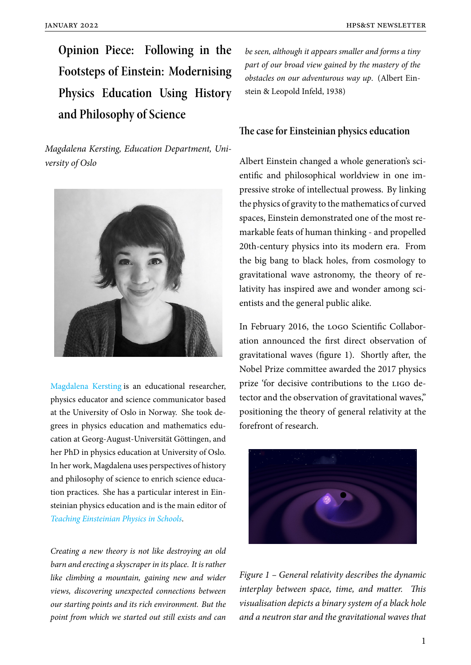**Opinion Piece: Following in the Footsteps of Einstein: Modernising Physics Education Using History and Philosophy of Science**

*Magdalena Kersting, Education Department, University of Oslo*



Magdalena Kersting is an educational researcher, physics educator and science communicator based at the University of Oslo in Norway. She took de[grees in physics edu](https://www.magdalenakersting.com)cation and mathematics education at Georg-August-Universität Göttingen, and her PhD in physics education at University of Oslo. In her work, Magdalena uses perspectives of history and philosophy of science to enrich science education practices. She has a particular interest in Einsteinian physics education and is the main editor of *Teaching Einsteinian Physics in Schools*.

*Creating a new theory is not like destroying an old [barn and erecting a skyscraper in its plac](https://www.routledge.com/Teaching-Einsteinian-Physics-in-Schools-An-Essential-Guide-for-Teachers/Kersting-Blair/p/book/9781760877712)e. It is rather like climbing a mountain, gaining new and wider views, discovering unexpected connections between our starting points and its rich environment. But the point from which we started out still exists and can*

*be seen, although it appears smaller and forms a tiny part of our broad view gained by the mastery of the obstacles on our adventurous way up*. (Albert Einstein & Leopold Infeld, 1938)

### **The case for Einsteinian physics education**

Albert Einstein changed a whole generation's scientific and philosophical worldview in one impressive stroke of intellectual prowess. By linking the physics of gravity to the mathematics of curved spaces, Einstein demonstrated one of the most remarkable feats of human thinking - and propelled 20th-century physics into its modern era. From the big bang to black holes, from cosmology to gravitational wave astronomy, the theory of relativity has inspired awe and wonder among scientists and the general public alike.

In February 2016, the logo Scientific Collaboration announced the first direct observation of gravitational waves (figure 1). Shortly after, the Nobel Prize committee awarded the 2017 physics prize 'for decisive contributions to the ligo detector and the observation of gravitational waves," positioning the theory of general relativity at the forefront of research.



*Figure 1 – General relativity describes the dynamic interplay between space, time, and matter. This visualisation depicts a binary system of a black hole and a neutron star and the gravitational waves that*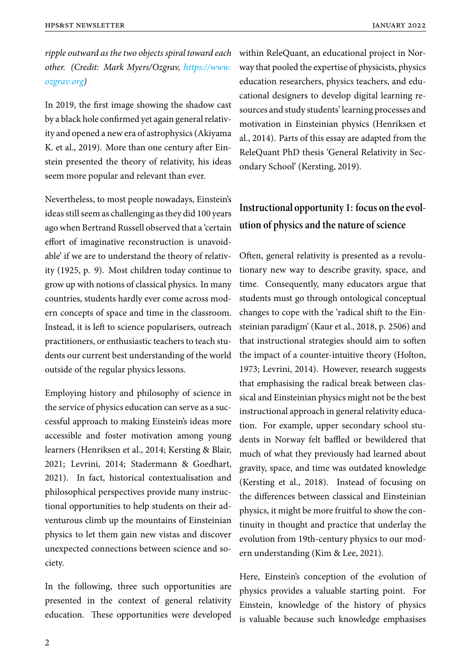*ripple outward as the two objects spiral toward each other. (Credit: Mark Myers/Ozgrav, https://www. ozgrav.org)*

In 2019, the first image showing the [shadow cast](https://www.ozgrav.org) [by a black h](https://www.ozgrav.org)ole confirmed yet again general relativity and opened a new era of astrophysics (Akiyama K. et al., 2019). More than one century after Einstein presented the theory of relativity, his ideas seem more popular and relevant than ever.

Nevertheless, to most people nowadays, Einstein's ideas still seem as challenging as they did 100 years ago when Bertrand Russell observed that a 'certain effort of imaginative reconstruction is unavoidable' if we are to understand the theory of relativity (1925, p. 9). Most children today continue to grow up with notions of classical physics. In many countries, students hardly ever come across modern concepts of space and time in the classroom. Instead, it is left to science popularisers, outreach practitioners, or enthusiastic teachers to teach students our current best understanding of the world outside of the regular physics lessons.

Employing history and philosophy of science in the service of physics education can serve as a successful approach to making Einstein's ideas more accessible and foster motivation among young learners (Henriksen et al., 2014; Kersting & Blair, 2021; Levrini, 2014; Stadermann & Goedhart, 2021). In fact, historical contextualisation and philosophical perspectives provide many instructional opportunities to help students on their adventurous climb up the mountains of Einsteinian physics to let them gain new vistas and discover unexpected connections between science and society.

In the following, three such opportunities are presented in the context of general relativity education. These opportunities were developed within ReleQuant, an educational project in Norway that pooled the expertise of physicists, physics education researchers, physics teachers, and educational designers to develop digital learning resources and study students' learning processes and motivation in Einsteinian physics (Henriksen et al., 2014). Parts of this essay are adapted from the ReleQuant PhD thesis 'General Relativity in Secondary School' (Kersting, 2019).

## **Instructional opportunity 1: focus on the evolution of physics and the nature of science**

Often, general relativity is presented as a revolutionary new way to describe gravity, space, and time. Consequently, many educators argue that students must go through ontological conceptual changes to cope with the 'radical shift to the Einsteinian paradigm' (Kaur et al., 2018, p. 2506) and that instructional strategies should aim to soften the impact of a counter-intuitive theory (Holton, 1973; Levrini, 2014). However, research suggests that emphasising the radical break between classical and Einsteinian physics might not be the best instructional approach in general relativity education. For example, upper secondary school students in Norway felt baffled or bewildered that much of what they previously had learned about gravity, space, and time was outdated knowledge (Kersting et al., 2018). Instead of focusing on the differences between classical and Einsteinian physics, it might be more fruitful to show the continuity in thought and practice that underlay the evolution from 19th-century physics to our modern understanding (Kim & Lee, 2021).

Here, Einstein's conception of the evolution of physics provides a valuable starting point. For Einstein, knowledge of the history of physics is valuable because such knowledge emphasises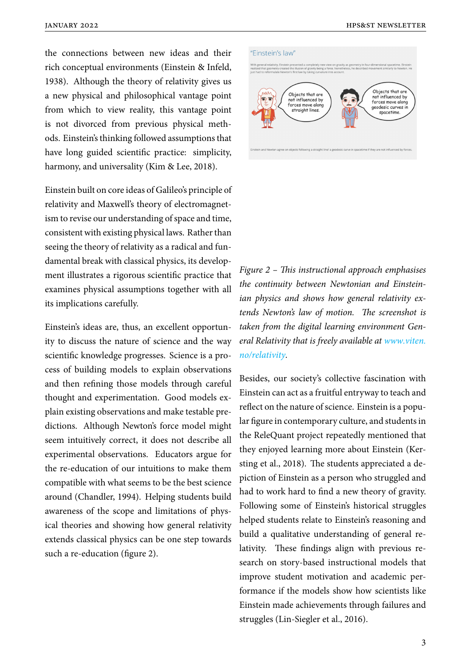the connections between new ideas and their rich conceptual environments (Einstein & Infeld, 1938). Although the theory of relativity gives us a new physical and philosophical vantage point from which to view reality, this vantage point is not divorced from previous physical methods. Einstein's thinking followed assumptions that have long guided scientific practice: simplicity, harmony, and universality (Kim & Lee, 2018).

Einstein built on core ideas of Galileo's principle of relativity and Maxwell's theory of electromagnetism to revise our understanding of space and time, consistent with existing physical laws. Rather than seeing the theory of relativity as a radical and fundamental break with classical physics, its development illustrates a rigorous scientific practice that examines physical assumptions together with all its implications carefully.

Einstein's ideas are, thus, an excellent opportunity to discuss the nature of science and the way scientific knowledge progresses. Science is a process of building models to explain observations and then refining those models through careful thought and experimentation. Good models explain existing observations and make testable predictions. Although Newton's force model might seem intuitively correct, it does not describe all experimental observations. Educators argue for the re-education of our intuitions to make them compatible with what seems to be the best science around (Chandler, 1994). Helping students build awareness of the scope and limitations of physical theories and showing how general relativity extends classical physics can be one step towards such a re-education (figure 2).

#### "Einstein's law"



*Figure 2 – This instructional approach emphasises the continuity between Newtonian and Einsteinian physics and shows how general relativity extends Newton's law of motion. The screenshot is taken from the digital learning environment General Relativity that is freely available at www.viten. no/relativity.*

Besides, our society's collective fasci[nation with](www.viten.no/relativity) [Einstein can](www.viten.no/relativity) act as a fruitful entryway to teach and reflect on the nature of science. Einstein is a popular figure in contemporary culture, and students in the ReleQuant project repeatedly mentioned that they enjoyed learning more about Einstein (Kersting et al., 2018). The students appreciated a depiction of Einstein as a person who struggled and had to work hard to find a new theory of gravity. Following some of Einstein's historical struggles helped students relate to Einstein's reasoning and build a qualitative understanding of general relativity. These findings align with previous research on story-based instructional models that improve student motivation and academic performance if the models show how scientists like Einstein made achievements through failures and struggles (Lin-Siegler et al., 2016).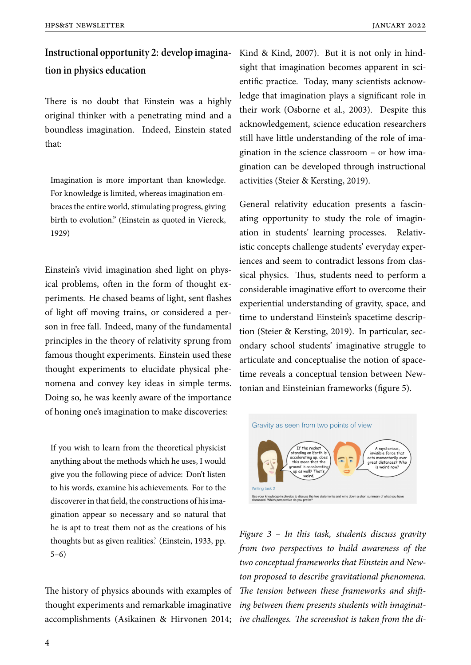# **Instructional opportunity 2: develop imagination in physics education**

There is no doubt that Einstein was a highly original thinker with a penetrating mind and a boundless imagination. Indeed, Einstein stated that:

Imagination is more important than knowledge. For knowledge is limited, whereas imagination embraces the entire world, stimulating progress, giving birth to evolution." (Einstein as quoted in Viereck, 1929)

Einstein's vivid imagination shed light on physical problems, often in the form of thought experiments. He chased beams of light, sent flashes of light off moving trains, or considered a person in free fall. Indeed, many of the fundamental principles in the theory of relativity sprung from famous thought experiments. Einstein used these thought experiments to elucidate physical phenomena and convey key ideas in simple terms. Doing so, he was keenly aware of the importance of honing one's imagination to make discoveries:

If you wish to learn from the theoretical physicist anything about the methods which he uses, I would give you the following piece of advice: Don't listen to his words, examine his achievements. For to the discoverer in that field, the constructions of his imagination appear so necessary and so natural that he is apt to treat them not as the creations of his thoughts but as given realities.' (Einstein, 1933, pp. 5–6)

The history of physics abounds with examples of thought experiments and remarkable imaginative accomplishments (Asikainen & Hirvonen 2014; *ive challenges. The screenshot is taken from the di-*

Kind & Kind, 2007). But it is not only in hindsight that imagination becomes apparent in scientific practice. Today, many scientists acknowledge that imagination plays a significant role in their work (Osborne et al., 2003). Despite this acknowledgement, science education researchers still have little understanding of the role of imagination in the science classroom – or how imagination can be developed through instructional activities (Steier & Kersting, 2019).

General relativity education presents a fascinating opportunity to study the role of imagination in students' learning processes. Relativistic concepts challenge students' everyday experiences and seem to contradict lessons from classical physics. Thus, students need to perform a considerable imaginative effort to overcome their experiential understanding of gravity, space, and time to understand Einstein's spacetime description (Steier & Kersting, 2019). In particular, secondary school students' imaginative struggle to articulate and conceptualise the notion of spacetime reveals a conceptual tension between Newtonian and Einsteinian frameworks (figure 5).



*Figure 3 – In this task, students discuss gravity from two perspectives to build awareness of the two conceptual frameworks that Einstein and Newton proposed to describe gravitational phenomena. The tension between these frameworks and shifting between them presents students with imaginat-*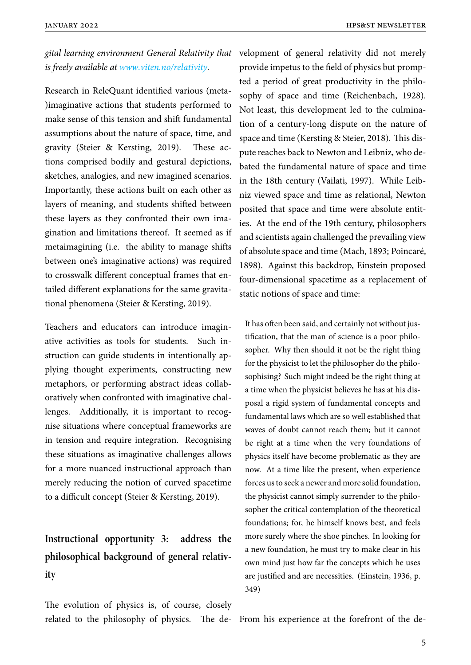*gital learning environment General Relativity that is freely available at www.viten.no/relativity.*

Research in ReleQuant identified various (meta- )imaginative action[s that students perform](www.viten.no/relativity)ed to make sense of this tension and shift fundamental assumptions about the nature of space, time, and gravity (Steier & Kersting, 2019). These actions comprised bodily and gestural depictions, sketches, analogies, and new imagined scenarios. Importantly, these actions built on each other as layers of meaning, and students shifted between these layers as they confronted their own imagination and limitations thereof. It seemed as if metaimagining (i.e. the ability to manage shifts between one's imaginative actions) was required to crosswalk different conceptual frames that entailed different explanations for the same gravitational phenomena (Steier & Kersting, 2019).

Teachers and educators can introduce imaginative activities as tools for students. Such instruction can guide students in intentionally applying thought experiments, constructing new metaphors, or performing abstract ideas collaboratively when confronted with imaginative challenges. Additionally, it is important to recognise situations where conceptual frameworks are in tension and require integration. Recognising these situations as imaginative challenges allows for a more nuanced instructional approach than merely reducing the notion of curved spacetime to a difficult concept (Steier & Kersting, 2019).

# **Instructional opportunity 3: address the philosophical background of general relativity**

The evolution of physics is, of course, closely

velopment of general relativity did not merely provide impetus to the field of physics but prompted a period of great productivity in the philosophy of space and time (Reichenbach, 1928). Not least, this development led to the culmination of a century-long dispute on the nature of space and time (Kersting & Steier, 2018). This dispute reaches back to Newton and Leibniz, who debated the fundamental nature of space and time in the 18th century (Vailati, 1997). While Leibniz viewed space and time as relational, Newton posited that space and time were absolute entities. At the end of the 19th century, philosophers and scientists again challenged the prevailing view of absolute space and time (Mach, 1893; Poincaré, 1898). Against this backdrop, Einstein proposed four-dimensional spacetime as a replacement of static notions of space and time:

It has often been said, and certainly not without justification, that the man of science is a poor philosopher. Why then should it not be the right thing for the physicist to let the philosopher do the philosophising? Such might indeed be the right thing at a time when the physicist believes he has at his disposal a rigid system of fundamental concepts and fundamental laws which are so well established that waves of doubt cannot reach them; but it cannot be right at a time when the very foundations of physics itself have become problematic as they are now. At a time like the present, when experience forces us to seek a newer and more solid foundation, the physicist cannot simply surrender to the philosopher the critical contemplation of the theoretical foundations; for, he himself knows best, and feels more surely where the shoe pinches. In looking for a new foundation, he must try to make clear in his own mind just how far the concepts which he uses are justified and are necessities. (Einstein, 1936, p. 349)

related to the philosophy of physics. The de-From his experience at the forefront of the de-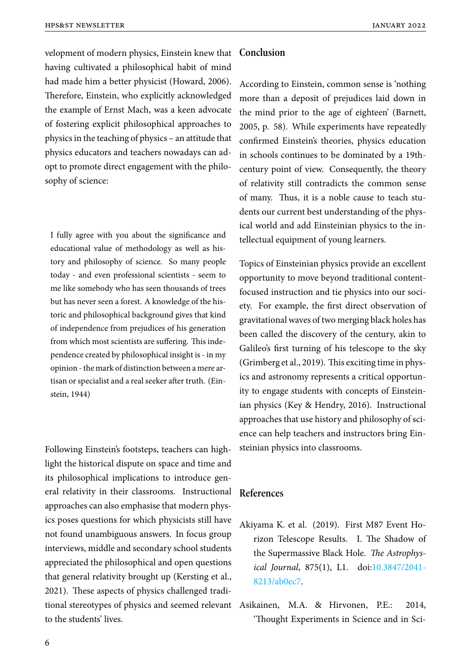velopment of modern physics, Einstein knew that **Conclusion** having cultivated a philosophical habit of mind had made him a better physicist (Howard, 2006). Therefore, Einstein, who explicitly acknowledged the example of Ernst Mach, was a keen advocate of fostering explicit philosophical approaches to physics in the teaching of physics – an attitude that physics educators and teachers nowadays can adopt to promote direct engagement with the philosophy of science:

I fully agree with you about the significance and educational value of methodology as well as history and philosophy of science. So many people today - and even professional scientists - seem to me like somebody who has seen thousands of trees but has never seen a forest. A knowledge of the historic and philosophical background gives that kind of independence from prejudices of his generation from which most scientists are suffering. This independence created by philosophical insight is - in my opinion - the mark of distinction between a mere artisan or specialist and a real seeker after truth. (Einstein, 1944)

Following Einstein's footsteps, teachers can highlight the historical dispute on space and time and its philosophical implications to introduce general relativity in their classrooms. Instructional approaches can also emphasise that modern physics poses questions for which physicists still have not found unambiguous answers. In focus group interviews, middle and secondary school students appreciated the philosophical and open questions that general relativity brought up (Kersting et al., 2021). These aspects of physics challenged traditional stereotypes of physics and seemed relevant to the students' lives.

According to Einstein, common sense is 'nothing more than a deposit of prejudices laid down in the mind prior to the age of eighteen' (Barnett, 2005, p. 58). While experiments have repeatedly confirmed Einstein's theories, physics education in schools continues to be dominated by a 19thcentury point of view. Consequently, the theory of relativity still contradicts the common sense of many. Thus, it is a noble cause to teach students our current best understanding of the physical world and add Einsteinian physics to the intellectual equipment of young learners.

Topics of Einsteinian physics provide an excellent opportunity to move beyond traditional contentfocused instruction and tie physics into our society. For example, the first direct observation of gravitational waves of two merging black holes has been called the discovery of the century, akin to Galileo's first turning of his telescope to the sky (Grimberg et al., 2019). This exciting time in physics and astronomy represents a critical opportunity to engage students with concepts of Einsteinian physics (Key & Hendry, 2016). Instructional approaches that use history and philosophy of science can help teachers and instructors bring Einsteinian physics into classrooms.

### **References**

- Akiyama K. et al. (2019). First M87 Event Horizon Telescope Results. I. The Shadow of the Supermassive Black Hole. *The Astrophysical Journal*, 875(1), L1. doi:10.3847/2041- 8213/ab0ec7.
- Asikainen, M.A. & Hirvonen, [P.E.: 2014,](https://doi.org/10.3847/2041-8213/ab0ec7) ['Thought Ex](https://doi.org/10.3847/2041-8213/ab0ec7)periments in Science and in Sci-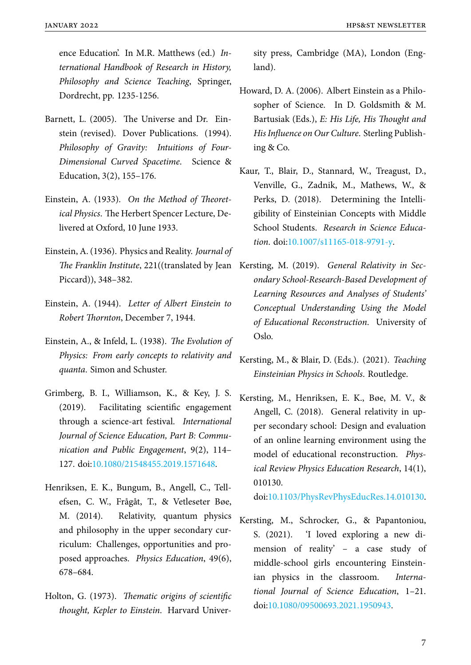ence Education'. In M.R. Matthews (ed.) *International Handbook of Research in History, Philosophy and Science Teaching*, Springer, Dordrecht, pp. 1235-1256.

- Barnett, L. (2005). The Universe and Dr. Einstein (revised). Dover Publications. (1994). *Philosophy of Gravity: Intuitions of Four-Dimensional Curved Spacetime*. Science & Education, 3(2), 155–176.
- Einstein, A. (1933). *On the Method of Theoretical Physics*. The Herbert Spencer Lecture, Delivered at Oxford, 10 June 1933.
- Einstein, A. (1936). Physics and Reality. *Journal of* Piccard)), 348–382.
- Einstein, A. (1944). *Letter of Albert Einstein to Robert Thornton*, December 7, 1944.
- Einstein, A., & Infeld, L. (1938). *The Evolution of Physics: From early concepts to relativity and quanta*. Simon and Schuster.
- Grimberg, B. I., Williamson, K., & Key, J. S. (2019). Facilitating scientific engagement through a science-art festival. *International Journal of Science Education, Part B: Communication and Public Engagement*, 9(2), 114– 127. doi:10.1080/21548455.2019.1571648.
- Henriksen, E. K., Bungum, B., Angell, C., Tellefsen, [C. W., Frågåt, T., & Vetleseter B](https://doi.org/10.1080/21548455.2019.1571648)øe, M. (2014). Relativity, quantum physics and philosophy in the upper secondary curriculum: Challenges, opportunities and proposed approaches. *Physics Education*, 49(6), 678–684.
- Holton, G. (1973). *Thematic origins of scientific thought, Kepler to Einstein*. Harvard Univer-

sity press, Cambridge (MA), London (England).

- Howard, D. A. (2006). Albert Einstein as a Philosopher of Science. In D. Goldsmith & M. Bartusiak (Eds.), *E: His Life, His Thought and His Influence on Our Culture*. Sterling Publishing & Co.
- Kaur, T., Blair, D., Stannard, W., Treagust, D., Venville, G., Zadnik, M., Mathews, W., & Perks, D. (2018). Determining the Intelligibility of Einsteinian Concepts with Middle School Students. *Research in Science Education*. doi:10.1007/s11165-018-9791-y.
- The Franklin Institute, 221((translated by Jean Kersting, M. (2019). *General Relativity in Secondary S[chool-Research-Based Develo](https://doi.org/10.1007/s11165-018-9791-y)pment of Learning Resources and Analyses of Students' Conceptual Understanding Using the Model of Educational Reconstruction*. University of Oslo.
	- Kersting, M., & Blair, D. (Eds.). (2021). *Teaching Einsteinian Physics in Schools*. Routledge.
	- Kersting, M., Henriksen, E. K., Bøe, M. V., & Angell, C. (2018). General relativity in upper secondary school: Design and evaluation of an online learning environment using the model of educational reconstruction. *Physical Review Physics Education Research*, 14(1), 010130.

doi:10.1103/PhysRevPhysEducRes.14.010130.

Kersting, M., Schrocker, G., & Papantoniou, S. [\(2021\). 'I loved exploring a new di](https://doi.org/10.1103/PhysRevPhysEducRes.14.010130)mension of reality' – a case study of middle-school girls encountering Einsteinian physics in the classroom. *International Journal of Science Education*, 1–21. doi:10.1080/09500693.2021.1950943.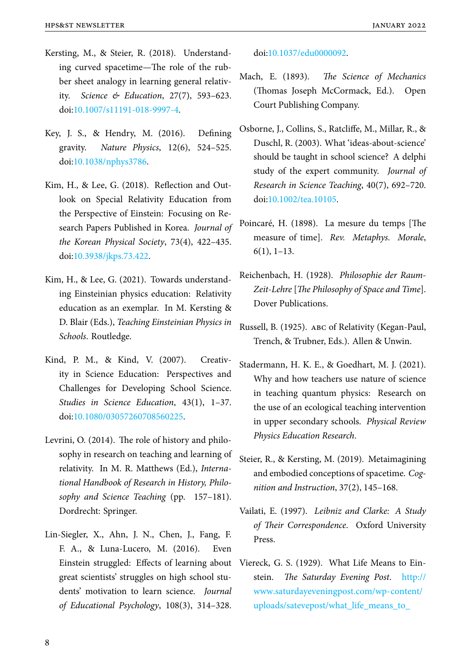- Kersting, M., & Steier, R. (2018). Understanding curved spacetime—The role of the rubber sheet analogy in learning general relativity. *Science & Education*, 27(7), 593–623. doi:10.1007/s11191-018-9997-4.
- Key, J. S., & Hendry, M. (2016). Defining gravity. *[Nature Physics](https://doi.org/10.1007/s11191-018-9997-4)*, 12(6), 524–525. doi:10.1038/nphys3786.
- Kim, H., & Lee, G. (2018). Reflection and Outloo[k on Special Relat](https://doi.org/10.1038/nphys3786)ivity Education from the Perspective of Einstein: Focusing on Research Papers Published in Korea. *Journal of the Korean Physical Society*, 73(4), 422–435. doi:10.3938/jkps.73.422.
- Kim, H., & Lee, G. (2021). Towards understanding [Einsteinian physics](https://doi.org/10.3938/jkps.73.422) education: Relativity education as an exemplar. In M. Kersting & D. Blair (Eds.), *Teaching Einsteinian Physics in Schools*. Routledge.
- Kind, P. M., & Kind, V. (2007). Creativity in Science Education: Perspectives and Challenges for Developing School Science. *Studies in Science Education*, 43(1), 1–37. doi:10.1080/03057260708560225.
- Levrini, O. (2014). The role of history and philosop[hy in research on teaching and](https://doi.org/10.1080/03057260708560225) learning of relativity. In M. R. Matthews (Ed.), *International Handbook of Research in History, Philosophy and Science Teaching* (pp. 157–181). Dordrecht: Springer.
- Lin-Siegler, X., Ahn, J. N., Chen, J., Fang, F. F. A., & Luna-Lucero, M. (2016). Even Einstein struggled: Effects of learning about great scientists' struggles on high school students' motivation to learn science. *Journal of Educational Psychology*, 108(3), 314–328.

doi:10.1037/edu0000092.

- Mach, E. (1893). *The Science of Mechanics* (Th[omas Joseph McCor](https://doi.org/10.1037/edu0000092)mack, Ed.). Open Court Publishing Company.
- Osborne, J., Collins, S., Ratcliffe, M., Millar, R., & Duschl, R. (2003). What 'ideas-about-science' should be taught in school science? A delphi study of the expert community. *Journal of Research in Science Teaching*, 40(7), 692–720. doi:10.1002/tea.10105.
- Poincaré, H. (1898). La mesure du temps [The me[asure of time\].](https://doi.org/10.1002/tea.10105) *Rev. Metaphys. Morale*, 6(1), 1–13.
- Reichenbach, H. (1928). *Philosophie der Raum-Zeit-Lehre* [*The Philosophy of Space and Time*]. Dover Publications.
- Russell, B. (1925). abc of Relativity (Kegan-Paul, Trench, & Trubner, Eds.). Allen & Unwin.
- Stadermann, H. K. E., & Goedhart, M. J. (2021). Why and how teachers use nature of science in teaching quantum physics: Research on the use of an ecological teaching intervention in upper secondary schools. *Physical Review Physics Education Research*.
- Steier, R., & Kersting, M. (2019). Metaimagining and embodied conceptions of spacetime. *Cognition and Instruction*, 37(2), 145–168.
- Vailati, E. (1997). *Leibniz and Clarke: A Study of Their Correspondence*. Oxford University Press.
- Viereck, G. S. (1929). What Life Means to Einstein. *The Saturday Evening Post*. http:// www.saturdayeveningpost.com/wp-content/ uploads/satevepost/what\_life\_means\_to\_